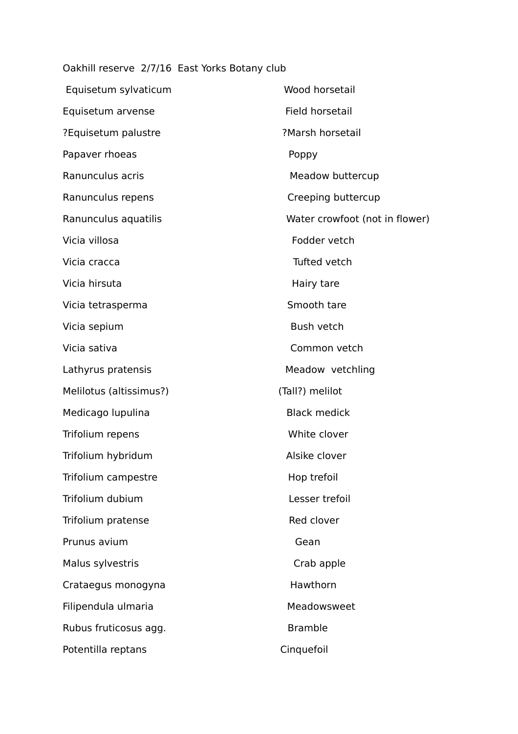Oakhill reserve 2/7/16 East Yorks Botany club

| Equisetum sylvaticum    | Wood horsetail                 |
|-------------------------|--------------------------------|
| Equisetum arvense       | Field horsetail                |
| ?Equisetum palustre     | ?Marsh horsetail               |
| Papaver rhoeas          | Poppy                          |
| Ranunculus acris        | Meadow buttercup               |
| Ranunculus repens       | Creeping buttercup             |
| Ranunculus aquatilis    | Water crowfoot (not in flower) |
| Vicia villosa           | Fodder vetch                   |
| Vicia cracca            | Tufted vetch                   |
| Vicia hirsuta           | Hairy tare                     |
| Vicia tetrasperma       | Smooth tare                    |
| Vicia sepium            | Bush vetch                     |
| Vicia sativa            | Common vetch                   |
| Lathyrus pratensis      | Meadow vetchling               |
| Melilotus (altissimus?) | (Tall?) melilot                |
| Medicago lupulina       | <b>Black medick</b>            |
| Trifolium repens        | White clover                   |
| Trifolium hybridum      | Alsike clover                  |
| Trifolium campestre     | Hop trefoil                    |
| Trifolium dubium        | Lesser trefoil                 |
| Trifolium pratense      | Red clover                     |
| Prunus avium            | Gean                           |
| Malus sylvestris        | Crab apple                     |
| Crataegus monogyna      | Hawthorn                       |
| Filipendula ulmaria     | Meadowsweet                    |
| Rubus fruticosus agg.   | <b>Bramble</b>                 |
| Potentilla reptans      | Cinquefoil                     |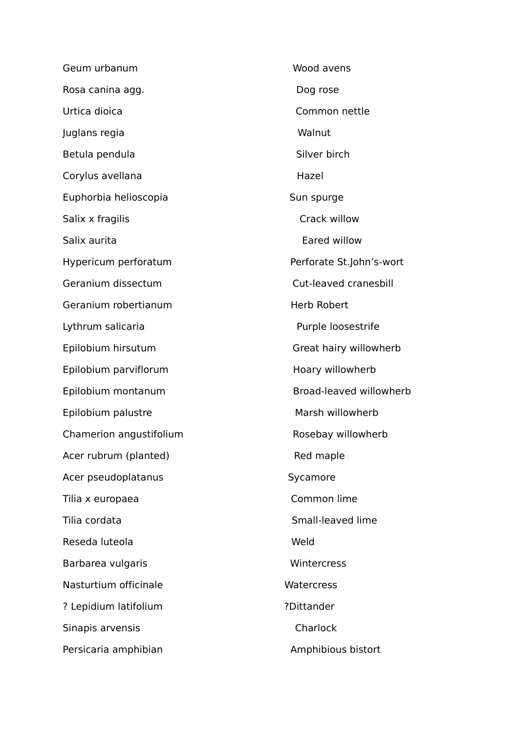Geum urbanum Wood avens Rosa canina agg. The contract of the Dog rose Urtica dioica Common nettle Juglans regia Walnut Betula pendula and states and states of Silver birch Corylus avellana hazel and the Hazel Euphorbia helioscopia Sun spurge Salix x fragilis Crack willow Salix aurita Hypericum perforatum **Perforate St.John's-wort** Geranium dissectum Cut-leaved cranesbill Geranium robertianum et al. et al. et al. et al. et al. et al. et al. et al. et al. et al. et al. et al. et al Lythrum salicaria **Purple loosestrife** Epilobium hirsutum Great hairy willowherb Epilobium parviflorum et al. (1999) Hoary willowherb Epilobium montanum Broad-leaved willowherb Epilobium palustre Marsh willowherb Chamerion angustifolium **Rosebay willowherb** Acer rubrum (planted) Red maple Acer pseudoplatanus Sycamore Tilia x europaea Common lime Tilia cordata and the small-leaved lime Reseda luteola Weld Barbarea vulgaris **Barbarea** vulgaris **Wintercress** Nasturtium officinale Watercress ? Lepidium latifolium **Processes** ?Dittander Sinapis arvensis **Charlock** Persicaria amphibian **Amphibious bistort**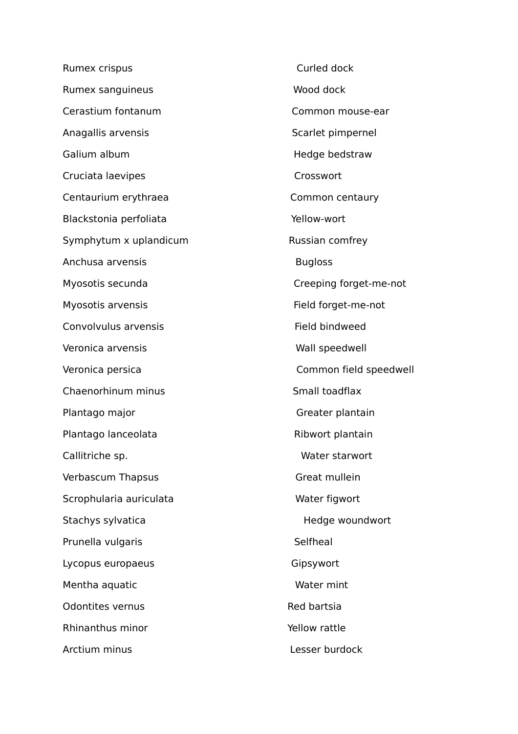Rumex crispus **Curled dock** Rumex sanguineus Wood dock Cerastium fontanum Common mouse-ear Anagallis arvensis and the settlement of the Scarlet pimpernel Galium album **Galium album Hedge bedstraw** Cruciata laevipes Crosswort Centaurium erythraea Common centaury Blackstonia perfoliata Xantonia yerlow-wort Symphytum x uplandicum example and the Russian comfrey Anchusa arvensis and a strategies and a strategies bugloss bugloss Myosotis secunda Creeping forget-me-not Myosotis arvensis **Field forget-me-not** Convolvulus arvensis The Convolvulus arvensis and the Convolvulus are example as the Field bindweed Veronica arvensis Wall speedwell Veronica persica Common field speedwell Chaenorhinum minus Small toadflax Plantago major **Greater plantain** Plantago lanceolata Ribwort plantain Callitriche sp. Nater starwort Verbascum Thapsus Great mullein Scrophularia auriculata Water figwort Stachys sylvatica and the Hedge woundwort Prunella vulgaris and selfheal Lycopus europaeus Communication Communication Communication Communication Communication Communication Communication Communication Communication Communication Communication Communication Communication Communication Communic Mentha aquatic Water mint Odontites vernus and a series and the Red bartsia Rhinanthus minor The Communist Communist Communist Pellow rattle Arctium minus Lesser burdock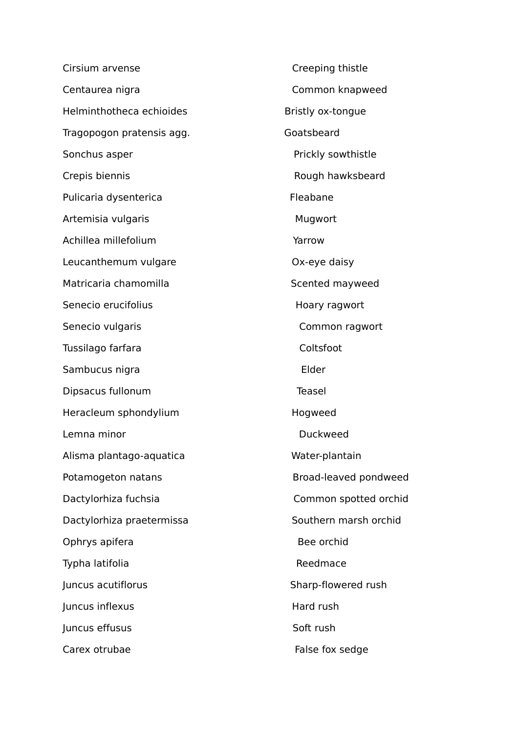Cirsium arvense **Communisties** Creeping thistle Centaurea nigra Common knapweed Helminthotheca echioides Bristly ox-tongue Tragopogon pratensis agg. Tragopogon pratensis agg. Sonchus asper **Prickly sowthistle** Crepis biennis **Rough hawksbeard** Pulicaria dysenterica **Fleabane** Artemisia vulgaris **Mugwort** Mugwort Achillea millefolium **Yarrow** Leucanthemum vulgare **Calculation** CX-eye daisy Matricaria chamomilla and some scented mayweed Senecio erucifolius et al. et al. et al. et al. et al. et al. et al. et al. et al. et al. et al. et al. et al. e Senecio vulgaris **Common ragwort** Tussilago farfara Coltsfoot Sambucus nigra **Elder** Elder Dipsacus fullonum Teasel Heracleum sphondylium and the Hogweed Lemna minor and a state of the Duckweed Alisma plantago-aquatica Water-plantain Potamogeton natans **Broad-leaved pondweed** Dactylorhiza fuchsia Common spotted orchid Dactylorhiza praetermissa Southern marsh orchid Ophrys apifera and a strategies of the Bee orchid Typha latifolia and a controller and a controller extending Reedmace Juncus acutiflorus Sharp-flowered rush Iuncus inflexus extending the Hard rush luncus effusus Soft rush Carex otrubae False fox sedge